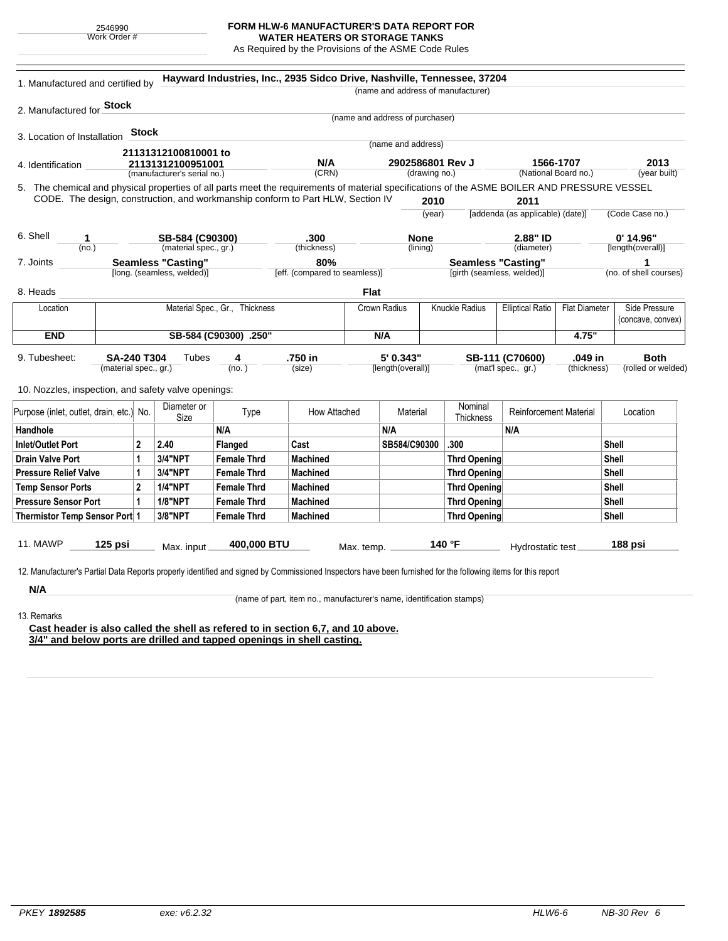| 2546990 |              |  |  |  |  |  |
|---------|--------------|--|--|--|--|--|
|         | Work Order # |  |  |  |  |  |

## **FORM HLW-6 MANUFACTURER'S DATA REPORT FOR**

**WATER HEATERS OR STORAGE TANKS** As Required by the Provisions of the ASME Code Rules

| 1. Manufactured and certified by                                                                                                             |                                |              |                                          |                    |                                                                                 | (name and address of manufacturer) |                         |                                   |                                  |                      |                                  |
|----------------------------------------------------------------------------------------------------------------------------------------------|--------------------------------|--------------|------------------------------------------|--------------------|---------------------------------------------------------------------------------|------------------------------------|-------------------------|-----------------------------------|----------------------------------|----------------------|----------------------------------|
| 2. Manufactured for Stock                                                                                                                    |                                |              |                                          |                    |                                                                                 |                                    |                         |                                   |                                  |                      |                                  |
|                                                                                                                                              |                                |              |                                          |                    |                                                                                 | (name and address of purchaser)    |                         |                                   |                                  |                      |                                  |
| 3. Location of Installation                                                                                                                  |                                | <b>Stock</b> |                                          |                    |                                                                                 | (name and address)                 |                         |                                   |                                  |                      |                                  |
| 21131312100810001 to<br>21131312100951001<br>4. Identification<br>(manufacturer's serial no.)                                                |                                |              |                                          |                    |                                                                                 |                                    |                         |                                   |                                  |                      |                                  |
|                                                                                                                                              |                                |              |                                          | (CRN)              | N/A<br>2902586801 Rev J<br>(drawing no.)                                        |                                    |                         | 1566-1707<br>(National Board no.) |                                  | 2013<br>(year built) |                                  |
| 5. The chemical and physical properties of all parts meet the requirements of material specifications of the ASME BOILER AND PRESSURE VESSEL |                                |              |                                          |                    |                                                                                 |                                    |                         |                                   |                                  |                      |                                  |
|                                                                                                                                              |                                |              |                                          |                    | CODE. The design, construction, and workmanship conform to Part HLW, Section IV |                                    | 2010                    |                                   | 2011                             |                      |                                  |
|                                                                                                                                              |                                |              |                                          |                    |                                                                                 |                                    | (year)                  |                                   | [addenda (as applicable) (date)] |                      | (Code Case no.)                  |
|                                                                                                                                              |                                |              |                                          |                    |                                                                                 |                                    |                         |                                   |                                  |                      |                                  |
| 6. Shell<br>1<br>(no.)                                                                                                                       |                                |              | SB-584 (C90300)<br>(material spec., gr.) |                    | .300<br>(thickness)                                                             |                                    | <b>None</b><br>(lining) |                                   | 2.88" ID<br>(diameter)           |                      | $0'$ 14.96"<br>[length(overall)] |
| 7. Joints                                                                                                                                    |                                |              | Seamless "Casting"                       |                    | 80%                                                                             |                                    |                         | <b>Seamless "Casting"</b>         |                                  |                      | 1                                |
|                                                                                                                                              |                                |              | [long. (seamless, welded)]               |                    | [eff. (compared to seamless)]                                                   |                                    |                         | [girth (seamless, welded)]        |                                  |                      | (no. of shell courses)           |
| 8. Heads                                                                                                                                     |                                |              |                                          |                    |                                                                                 | <b>Flat</b>                        |                         |                                   |                                  |                      |                                  |
| Location                                                                                                                                     | Material Spec., Gr., Thickness |              |                                          |                    | Crown Radius                                                                    |                                    | Knuckle Radius          | <b>Elliptical Ratio</b>           | <b>Flat Diameter</b>             | Side Pressure        |                                  |
|                                                                                                                                              |                                |              |                                          |                    |                                                                                 |                                    |                         |                                   | (concave, convex)                |                      |                                  |
| <b>END</b>                                                                                                                                   | SB-584 (C90300) .250"          |              |                                          |                    | N/A                                                                             |                                    |                         |                                   | 4.75"                            |                      |                                  |
| 9. Tubesheet:                                                                                                                                | SA-240 T304                    |              | Tubes                                    | 4                  | .750 in                                                                         | 5' 0.343"                          |                         |                                   | SB-111 (C70600)                  | .049 in              | <b>Both</b>                      |
|                                                                                                                                              | (material spec., gr.)          |              |                                          | (no.)              | (size)                                                                          | [length(overall)]                  |                         |                                   | (mat'l spec., gr.)               | (thickness)          | (rolled or welded)               |
|                                                                                                                                              |                                |              |                                          |                    |                                                                                 |                                    |                         |                                   |                                  |                      |                                  |
| 10. Nozzles, inspection, and safety valve openings:                                                                                          |                                |              |                                          |                    |                                                                                 |                                    |                         |                                   |                                  |                      |                                  |
| Purpose (inlet, outlet, drain, etc.) No.                                                                                                     |                                |              | Diameter or<br>Size                      | Type               | How Attached                                                                    |                                    | Material                | Nominal<br>Thickness              | <b>Reinforcement Material</b>    |                      | Location                         |
| Handhole                                                                                                                                     |                                |              |                                          | N/A                |                                                                                 | N/A                                |                         |                                   | N/A                              |                      |                                  |
| <b>Inlet/Outlet Port</b>                                                                                                                     |                                | $\mathbf{2}$ | 2.40                                     | <b>Flanged</b>     | Cast                                                                            |                                    | SB584/C90300            | .300                              |                                  |                      | Shell                            |
| <b>Drain Valve Port</b>                                                                                                                      |                                | 1            | 3/4"NPT                                  | <b>Female Thrd</b> | <b>Machined</b>                                                                 |                                    |                         | <b>Thrd Opening</b>               |                                  |                      | Shell                            |
| <b>Pressure Relief Valve</b>                                                                                                                 |                                | 1            | 3/4"NPT                                  | <b>Female Thrd</b> | <b>Machined</b>                                                                 |                                    |                         | <b>Thrd Opening</b>               |                                  |                      | Shell                            |
| <b>Temp Sensor Ports</b>                                                                                                                     |                                | $\mathbf{2}$ | <b>1/4"NPT</b>                           | <b>Female Thrd</b> | <b>Machined</b>                                                                 |                                    |                         | <b>Thrd Opening</b>               |                                  |                      | Shell                            |
| <b>Pressure Sensor Port</b>                                                                                                                  |                                | $\mathbf{1}$ | <b>1/8"NPT</b>                           | <b>Female Thrd</b> | <b>Machined</b>                                                                 |                                    |                         | <b>Thrd Opening</b>               |                                  |                      | Shell                            |
| Thermistor Temp Sensor Port 1                                                                                                                |                                |              | 3/8"NPT                                  | <b>Female Thrd</b> | <b>Machined</b>                                                                 |                                    |                         | <b>Thrd Opening</b>               |                                  |                      | Shell                            |
|                                                                                                                                              | $125$ psi                      |              |                                          |                    |                                                                                 |                                    |                         |                                   |                                  |                      |                                  |
| 11. MAWP                                                                                                                                     |                                |              |                                          | 400,000 BTU        |                                                                                 | Max. temp.                         |                         | 140 °F                            | Hydrostatic test                 |                      | 188 psi                          |

(name of part, item no., manufacturer's name, identification stamps)

13. Remarks

÷.

**Cast header is also called the shell as refered to in section 6,7, and 10 above. 3/4" and below ports are drilled and tapped openings in shell casting.**